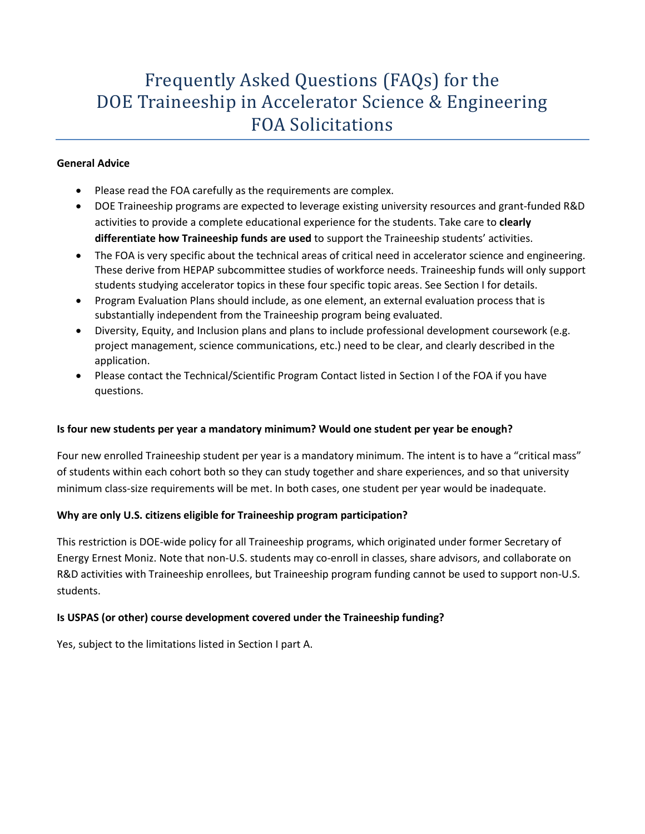# Frequently Asked Questions (FAQs) for the DOE Traineeship in Accelerator Science & Engineering FOA Solicitations

#### **General Advice**

- Please read the FOA carefully as the requirements are complex.
- DOE Traineeship programs are expected to leverage existing university resources and grant-funded R&D activities to provide a complete educational experience for the students. Take care to **clearly differentiate how Traineeship funds are used** to support the Traineeship students' activities.
- The FOA is very specific about the technical areas of critical need in accelerator science and engineering. These derive from HEPAP subcommittee studies of workforce needs. Traineeship funds will only support students studying accelerator topics in these four specific topic areas. See Section I for details.
- Program Evaluation Plans should include, as one element, an external evaluation process that is substantially independent from the Traineeship program being evaluated.
- Diversity, Equity, and Inclusion plans and plans to include professional development coursework (e.g. project management, science communications, etc.) need to be clear, and clearly described in the application.
- Please contact the Technical/Scientific Program Contact listed in Section I of the FOA if you have questions.

# **Is four new students per year a mandatory minimum? Would one student per year be enough?**

Four new enrolled Traineeship student per year is a mandatory minimum. The intent is to have a "critical mass" of students within each cohort both so they can study together and share experiences, and so that university minimum class-size requirements will be met. In both cases, one student per year would be inadequate.

# **Why are only U.S. citizens eligible for Traineeship program participation?**

This restriction is DOE-wide policy for all Traineeship programs, which originated under former Secretary of Energy Ernest Moniz. Note that non-U.S. students may co-enroll in classes, share advisors, and collaborate on R&D activities with Traineeship enrollees, but Traineeship program funding cannot be used to support non-U.S. students.

# **Is USPAS (or other) course development covered under the Traineeship funding?**

Yes, subject to the limitations listed in Section I part A.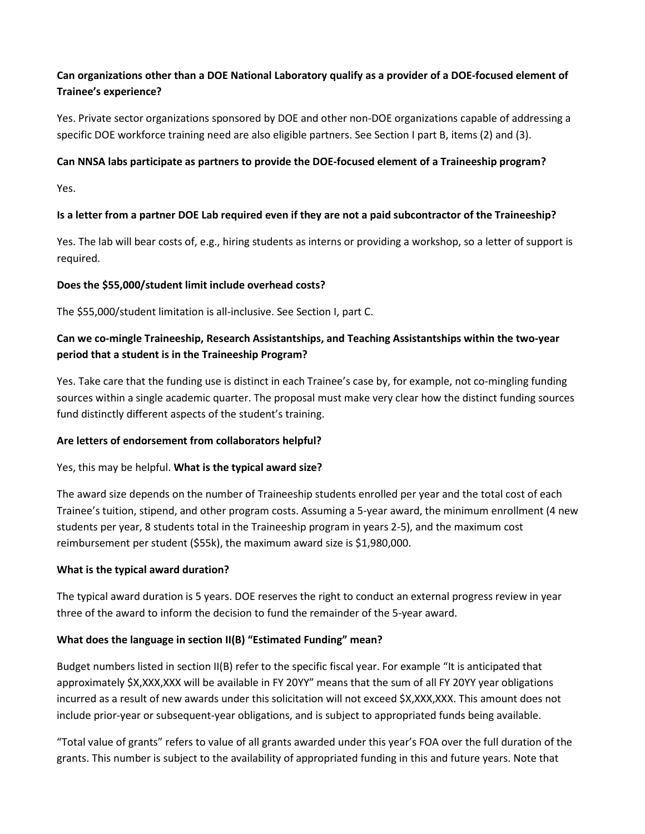# **Can organizations other than a DOE National Laboratory qualify as a provider of a DOE-focused element of Trainee's experience?**

Yes. Private sector organizations sponsored by DOE and other non-DOE organizations capable of addressing a specific DOE workforce training need are also eligible partners. See Section I part B, items (2) and (3).

#### **Can NNSA labs participate as partners to provide the DOE-focused element of a Traineeship program?**

Yes.

# **Is a letter from a partner DOE Lab required even if they are not a paid subcontractor of the Traineeship?**

Yes. The lab will bear costs of, e.g., hiring students as interns or providing a workshop, so a letter of support is required.

#### **Does the \$55,000/student limit include overhead costs?**

The \$55,000/student limitation is all-inclusive. See Section I, part C.

# **Can we co-mingle Traineeship, Research Assistantships, and Teaching Assistantships within the two-year period that a student is in the Traineeship Program?**

Yes. Take care that the funding use is distinct in each Trainee's case by, for example, not co-mingling funding sources within a single academic quarter. The proposal must make very clear how the distinct funding sources fund distinctly different aspects of the student's training.

# **Are letters of endorsement from collaborators helpful?**

# Yes, this may be helpful. **What is the typical award size?**

The award size depends on the number of Traineeship students enrolled per year and the total cost of each Trainee's tuition, stipend, and other program costs. Assuming a 5-year award, the minimum enrollment (4 new students per year, 8 students total in the Traineeship program in years 2-5), and the maximum cost reimbursement per student (\$55k), the maximum award size is \$1,980,000.

# **What is the typical award duration?**

The typical award duration is 5 years. DOE reserves the right to conduct an external progress review in year three of the award to inform the decision to fund the remainder of the 5-year award.

# **What does the language in section II(B) "Estimated Funding" mean?**

Budget numbers listed in section II(B) refer to the specific fiscal year. For example "It is anticipated that approximately \$X,XXX,XXX will be available in FY 20YY" means that the sum of all FY 20YY year obligations incurred as a result of new awards under this solicitation will not exceed \$X,XXX,XXX. This amount does not include prior-year or subsequent-year obligations, and is subject to appropriated funds being available.

"Total value of grants" refers to value of all grants awarded under this year's FOA over the full duration of the grants. This number is subject to the availability of appropriated funding in this and future years. Note that